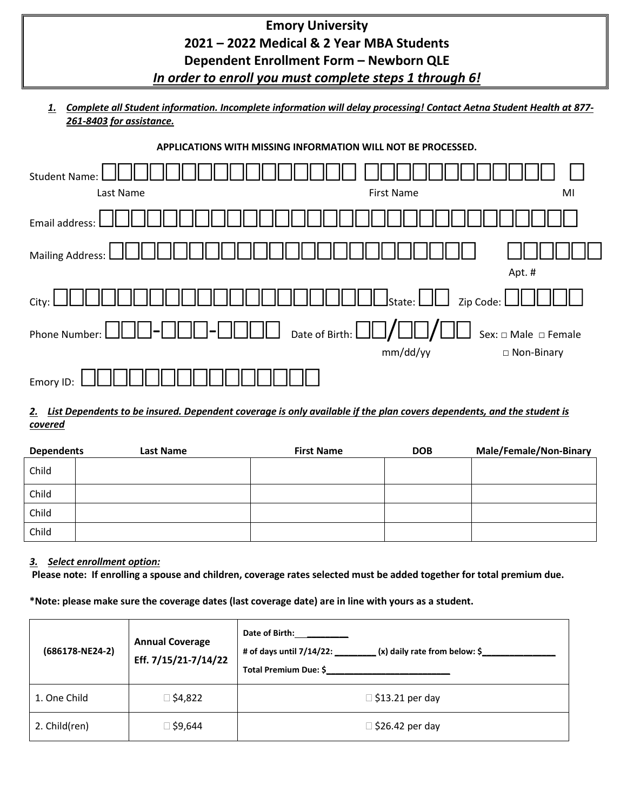| <b>Emory University</b>                                 |  |
|---------------------------------------------------------|--|
| 2021 - 2022 Medical & 2 Year MBA Students               |  |
| Dependent Enrollment Form - Newborn QLE                 |  |
| In order to enroll you must complete steps 1 through 6! |  |
|                                                         |  |

*1. Complete all Student information. Incomplete information will delay processing! Contact Aetna Student Health at 877- 261-8403 for assistance.*

| <b>Student Name:</b><br>Last Name | <b>First Name</b>                                                         | MI                   |
|-----------------------------------|---------------------------------------------------------------------------|----------------------|
| Email address:                    |                                                                           |                      |
| Mailing Address:                  |                                                                           | Apt. #               |
| City:                             | $\coprod \bigsqcup$ state: $\bigsqcup \bigsqcup \;$ zip Code: $\bigsqcup$ |                      |
| $I_{\text{m}}$<br>Phone Number:   | $\Box$ Date of Birth: $\Box\Box/$                                         | Sex: □ Male □ Female |
|                                   | mm/dd/yy                                                                  | □ Non-Binary         |
| Emory ID                          |                                                                           |                      |

### *2. List Dependents to be insured. Dependent coverage is only available if the plan covers dependents, and the student is covered*

| <b>Dependents</b> | Last Name | <b>First Name</b> | <b>DOB</b> | <b>Male/Female/Non-Binary</b> |
|-------------------|-----------|-------------------|------------|-------------------------------|
| Child             |           |                   |            |                               |
| Child             |           |                   |            |                               |
| Child             |           |                   |            |                               |
| Child             |           |                   |            |                               |

### *3. Select enrollment option:*

**Please note: If enrolling a spouse and children, coverage rates selected must be added together for total premium due.** 

**\*Note: please make sure the coverage dates (last coverage date) are in line with yours as a student.**

| (686178-NE24-2) | <b>Annual Coverage</b><br>Eff. 7/15/21-7/14/22 | Date of Birth:<br># of days until $7/14/22$ :<br>(x) daily rate from below: \$<br>Total Premium Due: \$ |
|-----------------|------------------------------------------------|---------------------------------------------------------------------------------------------------------|
| 1. One Child    | ⊠ \$4,822                                      | $\Box$ \$13.21 per day                                                                                  |
| 2. Child(ren)   | 446,9≸ ⊡                                       | $\Box$ \$26.42 per day                                                                                  |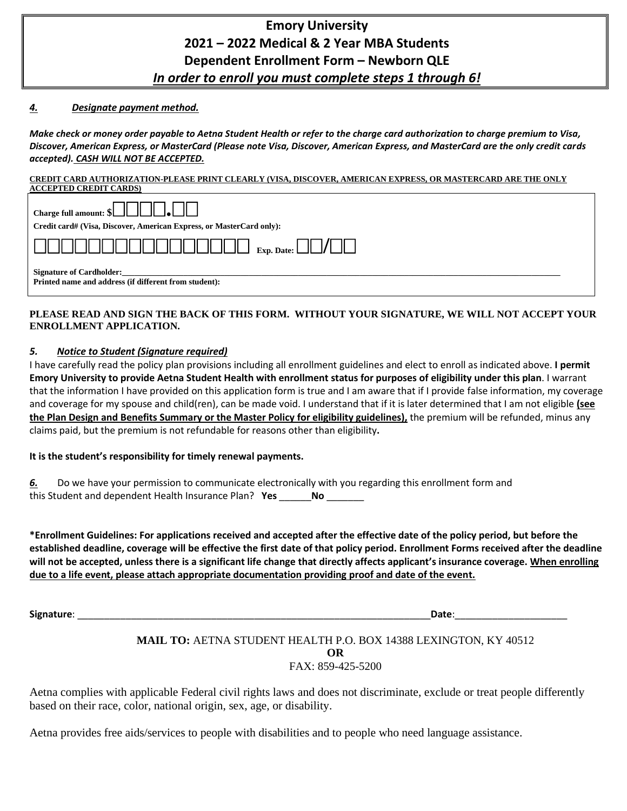# **Emory University 2021 – 2022 Medical & 2 Year MBA Students Dependent Enrollment Form – Newborn QLE**  *In order to enroll you must complete steps 1 through 6!*

#### *4. Designate payment method.*

*Make check or money order payable to Aetna Student Health or refer to the charge card authorization to charge premium to Visa, Discover, American Express, or MasterCard (Please note Visa, Discover, American Express, and MasterCard are the only credit cards accepted). CASH WILL NOT BE ACCEPTED.*

## **CREDIT CARD AUTHORIZATION-PLEASE PRINT CLEARLY (VISA, DISCOVER, AMERICAN EXPRESS, OR MASTERCARD ARE THE ONLY**

| <b>ACCEPTED CREDIT CARDS)</b>                                                            |  |
|------------------------------------------------------------------------------------------|--|
| Charge full amount: $\{\Box\Box\Box\Box\}$                                               |  |
| Credit card# (Visa, Discover, American Express, or MasterCard only):                     |  |
|                                                                                          |  |
| <b>Signature of Cardholder:</b><br>Printed name and address (if different from student): |  |

#### **PLEASE READ AND SIGN THE BACK OF THIS FORM. WITHOUT YOUR SIGNATURE, WE WILL NOT ACCEPT YOUR ENROLLMENT APPLICATION.**

#### *5. Notice to Student (Signature required)*

I have carefully read the policy plan provisions including all enrollment guidelines and elect to enroll as indicated above. **I permit Emory University to provide Aetna Student Health with enrollment status for purposes of eligibility under this plan**. I warrant that the information I have provided on this application form is true and I am aware that if I provide false information, my coverage and coverage for my spouse and child(ren), can be made void. I understand that if it is later determined that I am not eligible **(see the Plan Design and Benefits Summary or the Master Policy for eligibility guidelines),** the premium will be refunded, minus any claims paid, but the premium is not refundable for reasons other than eligibility**.** 

#### **It is the student's responsibility for timely renewal payments.**

*6.* Do we have your permission to communicate electronically with you regarding this enrollment form and this Student and dependent Health Insurance Plan? **Yes** \_\_\_\_\_\_**No** \_\_\_\_\_\_\_

**\*Enrollment Guidelines: For applications received and accepted after the effective date of the policy period, but before the established deadline, coverage will be effective the first date of that policy period. Enrollment Forms received after the deadline will not be accepted, unless there is a significant life change that directly affects applicant's insurance coverage. When enrolling due to a life event, please attach appropriate documentation providing proof and date of the event.** 

**Signature**: \_\_\_\_\_\_\_\_\_\_\_\_\_\_\_\_\_\_\_\_\_\_\_\_\_\_\_\_\_\_\_\_\_\_\_\_\_\_\_\_\_\_\_\_\_\_\_\_\_\_\_\_\_\_\_\_\_\_\_\_\_\_\_\_\_\_**Date**:\_\_\_\_\_\_\_\_\_\_\_\_\_\_\_\_\_\_\_\_\_

#### **MAIL TO:** AETNA STUDENT HEALTH P.O. BOX 14388 LEXINGTON, KY 40512 **OR** FAX: 859-425-5200

Aetna complies with applicable Federal civil rights laws and does not discriminate, exclude or treat people differently based on their race, color, national origin, sex, age, or disability.

Aetna provides free aids/services to people with disabilities and to people who need language assistance.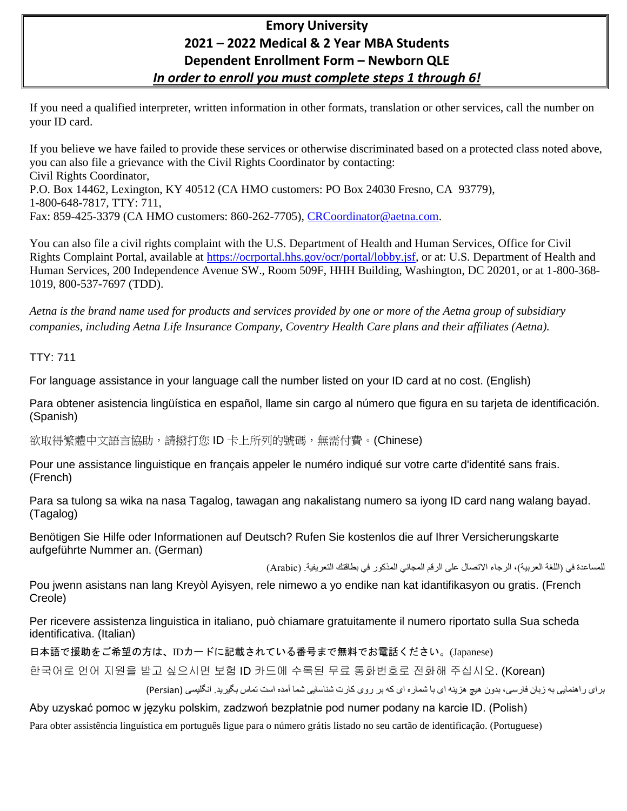# **Emory University 2021 – 2022 Medical & 2 Year MBA Students Dependent Enrollment Form – Newborn QLE**  *In order to enroll you must complete steps 1 through 6!*

If you need a qualified interpreter, written information in other formats, translation or other services, call the number on your ID card.

If you believe we have failed to provide these services or otherwise discriminated based on a protected class noted above, you can also file a grievance with the Civil Rights Coordinator by contacting: Civil Rights Coordinator, P.O. Box 14462, Lexington, KY 40512 (CA HMO customers: PO Box 24030 Fresno, CA 93779), 1-800-648-7817, TTY: 711, Fax: 859-425-3379 (CA HMO customers: 860-262-7705), [CRCoordinator@aetna.com.](mailto:CRCoordinator@aetna.com)

You can also file a civil rights complaint with the U.S. Department of Health and Human Services, Office for Civil Rights Complaint Portal, available at [https://ocrportal.hhs.gov/ocr/portal/lobby.jsf,](https://ocrportal.hhs.gov/ocr/portal/lobby.jsf) or at: U.S. Department of Health and Human Services, 200 Independence Avenue SW., Room 509F, HHH Building, Washington, DC 20201, or at 1-800-368- 1019, 800-537-7697 (TDD).

*Aetna is the brand name used for products and services provided by one or more of the Aetna group of subsidiary companies, including Aetna Life Insurance Company, Coventry Health Care plans and their affiliates (Aetna).*

### TTY: 711

For language assistance in your language call the number listed on your ID card at no cost. (English)

Para obtener asistencia lingüística en español, llame sin cargo al número que figura en su tarjeta de identificación. (Spanish)

欲取得繁體中文語言協助,請撥打您 ID 卡上所列的號碼,無需付費。(Chinese)

Pour une assistance linguistique en français appeler le numéro indiqué sur votre carte d'identité sans frais. (French)

Para sa tulong sa wika na nasa Tagalog, tawagan ang nakalistang numero sa iyong ID card nang walang bayad. (Tagalog)

Benötigen Sie Hilfe oder Informationen auf Deutsch? Rufen Sie kostenlos die auf Ihrer Versicherungskarte aufgeführte Nummer an. (German)

للمساعدة في (اللغة العربية)، الرجاء الاتصال على الرقم المجاني المذكور في بطاقتك التعريفية. (Arabic)

Pou jwenn asistans nan lang Kreyòl Ayisyen, rele nimewo a yo endike nan kat idantifikasyon ou gratis. (French Creole)

Per ricevere assistenza linguistica in italiano, può chiamare gratuitamente il numero riportato sulla Sua scheda identificativa. (Italian)

日本語で援助をご希望の方は、IDカードに記載されている番号まで無料でお電話ください。(Japanese)

한국어로 언어 지원을 받고 싶으시면 보험 ID 카드에 수록된 무료 통화번호로 전화해 주십시오. (Korean)

برای راهنمايی به زبان فارسی، بدون هيچ هزينه ای با شماره ای که بر روی کارت شناسايی شما آمده است تماس بگيريد. انگليسی )Persian )

Aby uzyskać pomoc w języku polskim, zadzwoń bezpłatnie pod numer podany na karcie ID. (Polish)

Para obter assistência linguística em português ligue para o número grátis listado no seu cartão de identificação. (Portuguese)